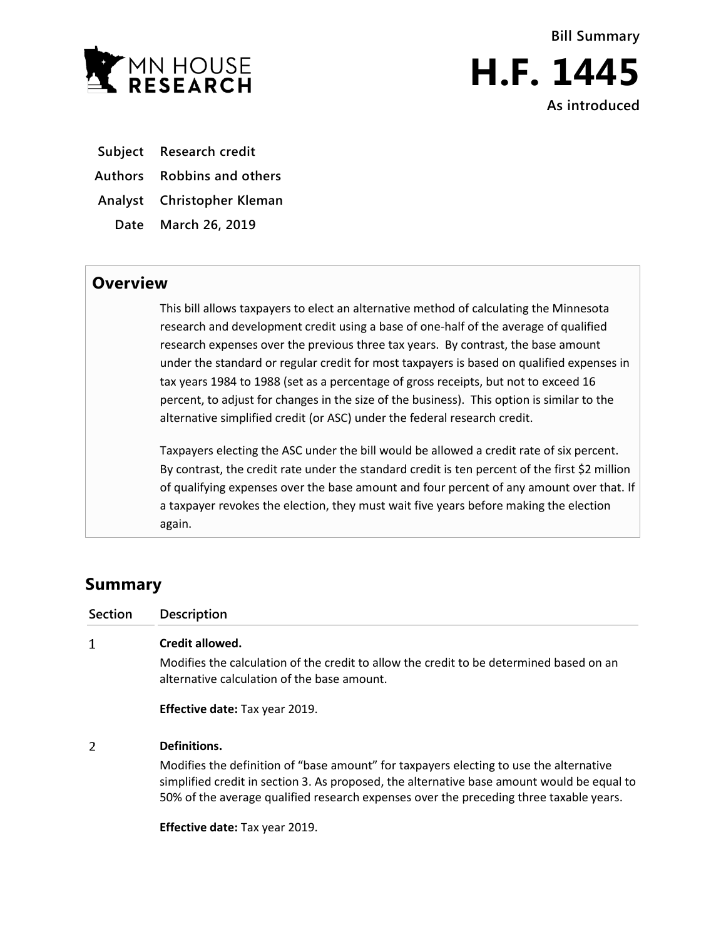



**Subject Research credit**

**Authors Robbins and others**

**Analyst Christopher Kleman**

**Date March 26, 2019**

## **Overview**

This bill allows taxpayers to elect an alternative method of calculating the Minnesota research and development credit using a base of one-half of the average of qualified research expenses over the previous three tax years. By contrast, the base amount under the standard or regular credit for most taxpayers is based on qualified expenses in tax years 1984 to 1988 (set as a percentage of gross receipts, but not to exceed 16 percent, to adjust for changes in the size of the business). This option is similar to the alternative simplified credit (or ASC) under the federal research credit.

Taxpayers electing the ASC under the bill would be allowed a credit rate of six percent. By contrast, the credit rate under the standard credit is ten percent of the first \$2 million of qualifying expenses over the base amount and four percent of any amount over that. If a taxpayer revokes the election, they must wait five years before making the election again.

## **Summary**

| <b>Section</b> | <b>Description</b>                                                                                                                                                                                                                                                             |
|----------------|--------------------------------------------------------------------------------------------------------------------------------------------------------------------------------------------------------------------------------------------------------------------------------|
| 1              | Credit allowed.                                                                                                                                                                                                                                                                |
|                | Modifies the calculation of the credit to allow the credit to be determined based on an<br>alternative calculation of the base amount.                                                                                                                                         |
|                | <b>Effective date: Tax year 2019.</b>                                                                                                                                                                                                                                          |
| 2              | Definitions.                                                                                                                                                                                                                                                                   |
|                | Modifies the definition of "base amount" for taxpayers electing to use the alternative<br>simplified credit in section 3. As proposed, the alternative base amount would be equal to<br>50% of the average qualified research expenses over the preceding three taxable years. |

**Effective date:** Tax year 2019.